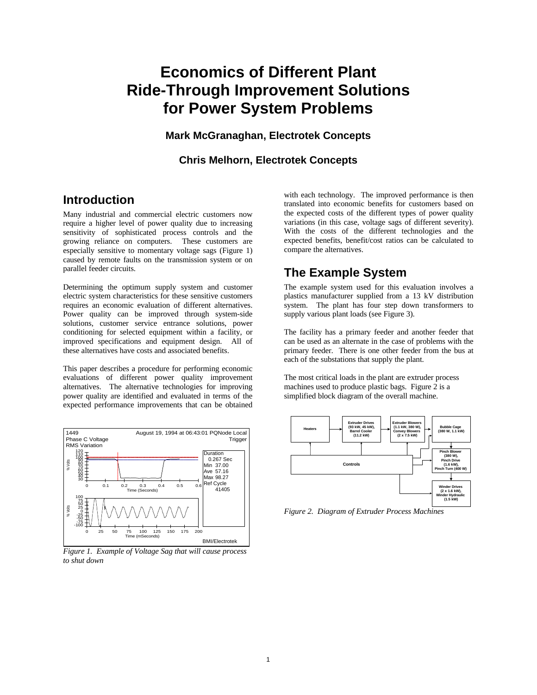# **Economics of Different Plant Ride-Through Improvement Solutions for Power System Problems**

**Mark McGranaghan, Electrotek Concepts**

**Chris Melhorn, Electrotek Concepts**

### **Introduction**

Many industrial and commercial electric customers now require a higher level of power quality due to increasing sensitivity of sophisticated process controls and the growing reliance on computers. These customers are especially sensitive to momentary voltage sags (Figure 1) caused by remote faults on the transmission system or on parallel feeder circuits.

Determining the optimum supply system and customer electric system characteristics for these sensitive customers requires an economic evaluation of different alternatives. Power quality can be improved through system-side solutions, customer service entrance solutions, power conditioning for selected equipment within a facility, or improved specifications and equipment design. All of these alternatives have costs and associated benefits.

This paper describes a procedure for performing economic evaluations of different power quality improvement alternatives. The alternative technologies for improving power quality are identified and evaluated in terms of the expected performance improvements that can be obtained



*Figure 1. Example of Voltage Sag that will cause process to shut down*

with each technology. The improved performance is then translated into economic benefits for customers based on the expected costs of the different types of power quality variations (in this case, voltage sags of different severity). With the costs of the different technologies and the expected benefits, benefit/cost ratios can be calculated to compare the alternatives.

# **The Example System**

The example system used for this evaluation involves a plastics manufacturer supplied from a 13 kV distribution system. The plant has four step down transformers to supply various plant loads (see Figure 3).

The facility has a primary feeder and another feeder that can be used as an alternate in the case of problems with the primary feeder. There is one other feeder from the bus at each of the substations that supply the plant.

The most critical loads in the plant are extruder process machines used to produce plastic bags. Figure 2 is a simplified block diagram of the overall machine.



*Figure 2. Diagram of Extruder Process Machines*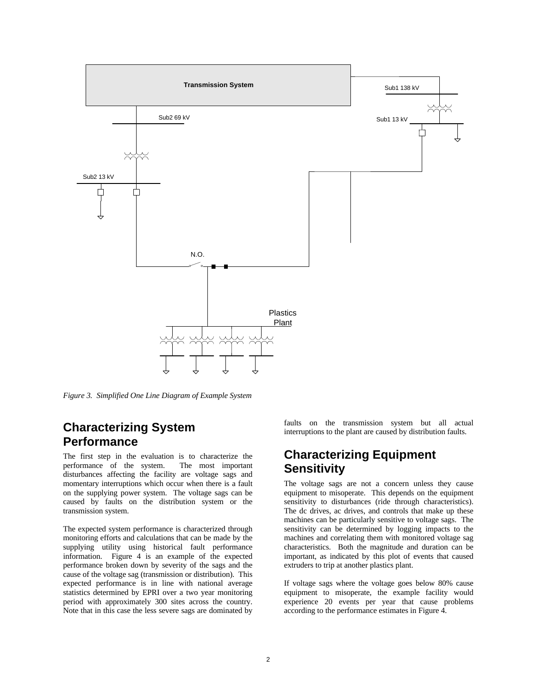

*Figure 3. Simplified One Line Diagram of Example System*

### **Characterizing System Performance**

The first step in the evaluation is to characterize the performance of the system. The most important disturbances affecting the facility are voltage sags and momentary interruptions which occur when there is a fault on the supplying power system. The voltage sags can be caused by faults on the distribution system or the transmission system.

The expected system performance is characterized through monitoring efforts and calculations that can be made by the supplying utility using historical fault performance information. Figure 4 is an example of the expected performance broken down by severity of the sags and the cause of the voltage sag (transmission or distribution). This expected performance is in line with national average statistics determined by EPRI over a two year monitoring period with approximately 300 sites across the country. Note that in this case the less severe sags are dominated by faults on the transmission system but all actual interruptions to the plant are caused by distribution faults.

### **Characterizing Equipment Sensitivity**

The voltage sags are not a concern unless they cause equipment to misoperate. This depends on the equipment sensitivity to disturbances (ride through characteristics). The dc drives, ac drives, and controls that make up these machines can be particularly sensitive to voltage sags. The sensitivity can be determined by logging impacts to the machines and correlating them with monitored voltage sag characteristics. Both the magnitude and duration can be important, as indicated by this plot of events that caused extruders to trip at another plastics plant.

If voltage sags where the voltage goes below 80% cause equipment to misoperate, the example facility would experience 20 events per year that cause problems according to the performance estimates in Figure 4.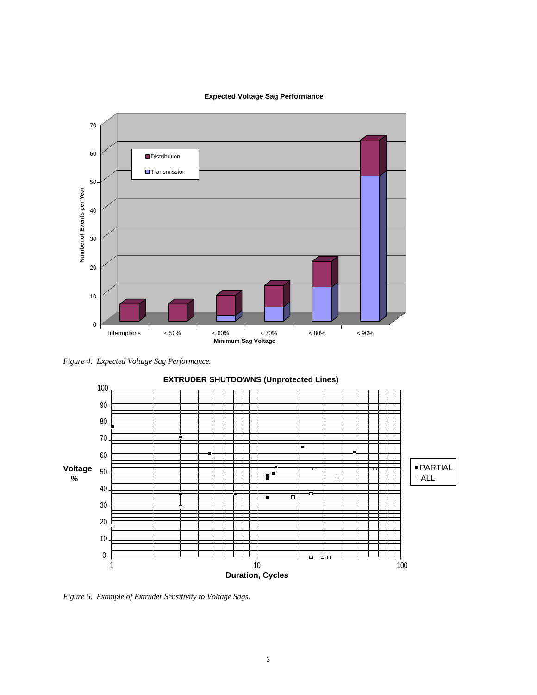**Expected Voltage Sag Performance**



*Figure 4. Expected Voltage Sag Performance.*



*Figure 5. Example of Extruder Sensitivity to Voltage Sags.*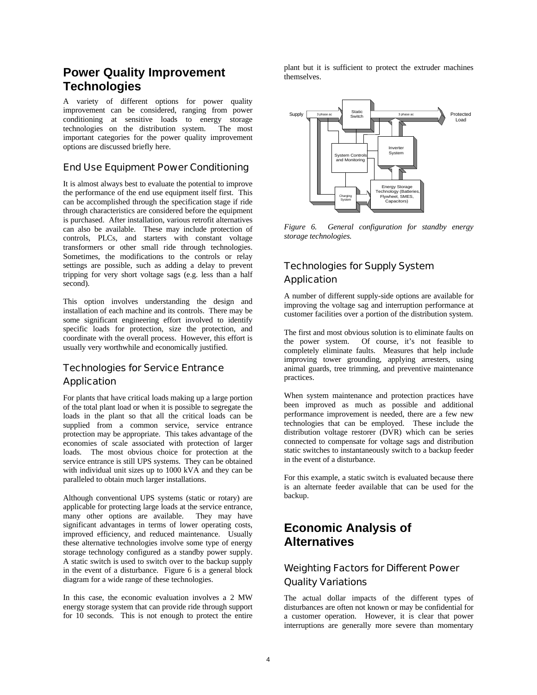### **Power Quality Improvement Technologies**

A variety of different options for power quality improvement can be considered, ranging from power conditioning at sensitive loads to energy storage technologies on the distribution system. The most important categories for the power quality improvement options are discussed briefly here.

#### End Use Equipment Power Conditioning

It is almost always best to evaluate the potential to improve the performance of the end use equipment itself first. This can be accomplished through the specification stage if ride through characteristics are considered before the equipment is purchased. After installation, various retrofit alternatives can also be available. These may include protection of controls, PLCs, and starters with constant voltage transformers or other small ride through technologies. Sometimes, the modifications to the controls or relay settings are possible, such as adding a delay to prevent tripping for very short voltage sags (e.g. less than a half second).

This option involves understanding the design and installation of each machine and its controls. There may be some significant engineering effort involved to identify specific loads for protection, size the protection, and coordinate with the overall process. However, this effort is usually very worthwhile and economically justified.

#### Technologies for Service Entrance **Application**

For plants that have critical loads making up a large portion of the total plant load or when it is possible to segregate the loads in the plant so that all the critical loads can be supplied from a common service, service entrance protection may be appropriate. This takes advantage of the economies of scale associated with protection of larger loads. The most obvious choice for protection at the service entrance is still UPS systems. They can be obtained with individual unit sizes up to 1000 kVA and they can be paralleled to obtain much larger installations.

Although conventional UPS systems (static or rotary) are applicable for protecting large loads at the service entrance, many other options are available. They may have significant advantages in terms of lower operating costs, improved efficiency, and reduced maintenance. Usually these alternative technologies involve some type of energy storage technology configured as a standby power supply. A static switch is used to switch over to the backup supply in the event of a disturbance. Figure 6 is a general block diagram for a wide range of these technologies.

In this case, the economic evaluation involves a 2 MW energy storage system that can provide ride through support for 10 seconds. This is not enough to protect the entire

plant but it is sufficient to protect the extruder machines themselves.



*Figure 6. General configuration for standby energy storage technologies.*

### Technologies for Supply System Application

A number of different supply-side options are available for improving the voltage sag and interruption performance at customer facilities over a portion of the distribution system.

The first and most obvious solution is to eliminate faults on the power system. Of course, it's not feasible to completely eliminate faults. Measures that help include improving tower grounding, applying arresters, using animal guards, tree trimming, and preventive maintenance practices.

When system maintenance and protection practices have been improved as much as possible and additional performance improvement is needed, there are a few new technologies that can be employed. These include the distribution voltage restorer (DVR) which can be series connected to compensate for voltage sags and distribution static switches to instantaneously switch to a backup feeder in the event of a disturbance.

For this example, a static switch is evaluated because there is an alternate feeder available that can be used for the backup.

# **Economic Analysis of Alternatives**

#### Weighting Factors for Different Power Quality Variations

The actual dollar impacts of the different types of disturbances are often not known or may be confidential for a customer operation. However, it is clear that power interruptions are generally more severe than momentary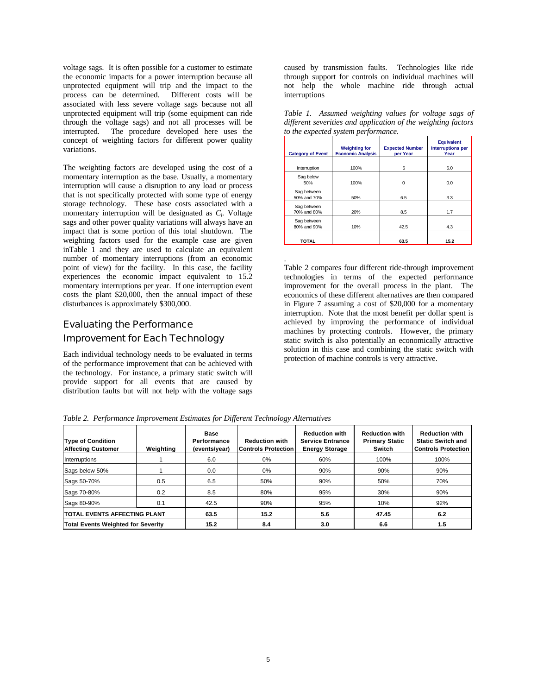voltage sags. It is often possible for a customer to estimate the economic impacts for a power interruption because all unprotected equipment will trip and the impact to the process can be determined. Different costs will be associated with less severe voltage sags because not all unprotected equipment will trip (some equipment can ride through the voltage sags) and not all processes will be interrupted. The procedure developed here uses the concept of weighting factors for different power quality variations.

The weighting factors are developed using the cost of a momentary interruption as the base. Usually, a momentary interruption will cause a disruption to any load or process that is not specifically protected with some type of energy storage technology. These base costs associated with a momentary interruption will be designated as *C<sup>i</sup> .* Voltage sags and other power quality variations will always have an impact that is some portion of this total shutdown. The weighting factors used for the example case are given inTable 1 and they are used to calculate an equivalent number of momentary interruptions (from an economic point of view) for the facility. In this case, the facility experiences the economic impact equivalent to 15.2 momentary interruptions per year. If one interruption event costs the plant \$20,000, then the annual impact of these disturbances is approximately \$300,000.

#### Evaluating the Performance

#### Improvement for Each Technology

Each individual technology needs to be evaluated in terms of the performance improvement that can be achieved with the technology. For instance, a primary static switch will provide support for all events that are caused by distribution faults but will not help with the voltage sags

caused by transmission faults. Technologies like ride through support for controls on individual machines will not help the whole machine ride through actual interruptions

| <b>Category of Event</b>   | <b>Weighting for</b><br><b>Economic Analysis</b> | <b>Expected Number</b><br>per Year | <b>Equivalent</b><br><b>Interruptions per</b><br>Year |  |
|----------------------------|--------------------------------------------------|------------------------------------|-------------------------------------------------------|--|
| Interruption               | 100%                                             | 6                                  | 6.0                                                   |  |
| Sag below<br>50%           | 100%                                             | $\Omega$                           | 0.0                                                   |  |
| Sag between<br>50% and 70% | 50%                                              | 6.5                                | 3.3                                                   |  |
| Sag between<br>70% and 80% | 20%                                              | 8.5                                | 1.7                                                   |  |
| Sag between<br>80% and 90% | 10%                                              | 42.5                               | 4.3                                                   |  |
| TOTAL                      |                                                  | 63.5                               | 15.2                                                  |  |

*Table 1. Assumed weighting values for voltage sags of different severities and application of the weighting factors to the expected system performance.*

Table 2 compares four different ride-through improvement technologies in terms of the expected performance improvement for the overall process in the plant. The economics of these different alternatives are then compared in Figure 7 assuming a cost of \$20,000 for a momentary interruption. Note that the most benefit per dollar spent is achieved by improving the performance of individual machines by protecting controls. However, the primary static switch is also potentially an economically attractive solution in this case and combining the static switch with protection of machine controls is very attractive.

*Table 2. Performance Improvement Estimates for Different Technology Alternatives*

| <b>Type of Condition</b><br><b>Affecting Customer</b> | Weighting | Base<br>Performance<br>(events/year) | <b>Reduction with</b><br><b>Controls Protection</b> | <b>Reduction with</b><br><b>Service Entrance</b><br><b>Energy Storage</b> | <b>Reduction with</b><br><b>Primary Static</b><br>Switch | <b>Reduction with</b><br><b>Static Switch and</b><br><b>Controls Protection</b> |
|-------------------------------------------------------|-----------|--------------------------------------|-----------------------------------------------------|---------------------------------------------------------------------------|----------------------------------------------------------|---------------------------------------------------------------------------------|
| Interruptions                                         |           | 6.0                                  | 0%                                                  | 60%                                                                       | 100%                                                     | 100%                                                                            |
| Sags below 50%                                        |           | 0.0                                  | 0%                                                  | 90%                                                                       | 90%                                                      | 90%                                                                             |
| Sags 50-70%                                           | 0.5       | 6.5                                  | 50%                                                 | 90%                                                                       | 50%                                                      | 70%                                                                             |
| Sags 70-80%                                           | 0.2       | 8.5                                  | 80%                                                 | 95%                                                                       | 30%                                                      | 90%                                                                             |
| Sags 80-90%                                           | 0.1       | 42.5                                 | 90%                                                 | 95%                                                                       | 10%                                                      | 92%                                                                             |
| ITOTAL EVENTS AFFECTING PLANT                         |           | 63.5                                 | 15.2                                                | 5.6                                                                       | 47.45                                                    | 6.2                                                                             |
| Total Events Weighted for Severity                    |           | 15.2                                 | 8.4                                                 | 3.0                                                                       | 6.6                                                      | 1.5                                                                             |

.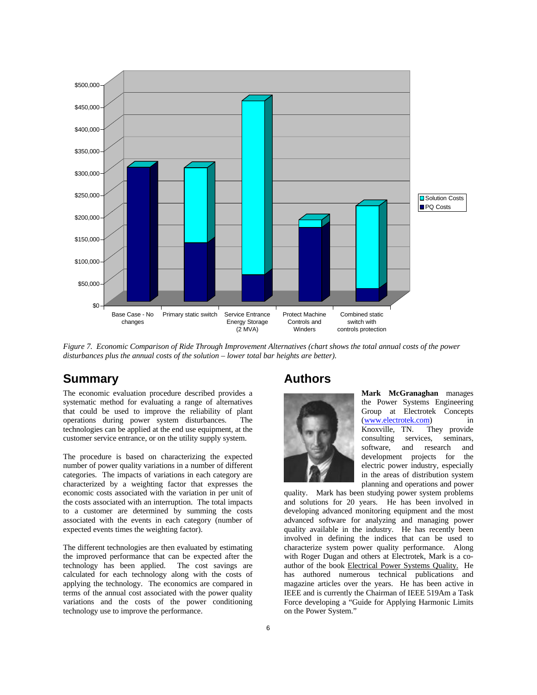

*Figure 7. Economic Comparison of Ride Through Improvement Alternatives (chart shows the total annual costs of the power disturbances plus the annual costs of the solution – lower total bar heights are better).*

#### **Summary**

The economic evaluation procedure described provides a systematic method for evaluating a range of alternatives that could be used to improve the reliability of plant operations during power system disturbances. The technologies can be applied at the end use equipment, at the customer service entrance, or on the utility supply system.

The procedure is based on characterizing the expected number of power quality variations in a number of different categories. The impacts of variations in each category are characterized by a weighting factor that expresses the economic costs associated with the variation in per unit of the costs associated with an interruption. The total impacts to a customer are determined by summing the costs associated with the events in each category (number of expected events times the weighting factor).

The different technologies are then evaluated by estimating the improved performance that can be expected after the technology has been applied. The cost savings are calculated for each technology along with the costs of applying the technology. The economics are compared in terms of the annual cost associated with the power quality variations and the costs of the power conditioning technology use to improve the performance.

#### **Authors**



**Mark McGranaghan** manages the Power Systems Engineering Group at Electrotek Concepts (www.electrotek.com) in Knoxville, TN. They provide<br>consulting services, seminars. consulting software, and research and development projects for the electric power industry, especially in the areas of distribution system planning and operations and power

quality. Mark has been studying power system problems and solutions for 20 years. He has been involved in developing advanced monitoring equipment and the most advanced software for analyzing and managing power quality available in the industry. He has recently been involved in defining the indices that can be used to characterize system power quality performance. Along with Roger Dugan and others at Electrotek, Mark is a coauthor of the book Electrical Power Systems Quality. He has authored numerous technical publications and magazine articles over the years. He has been active in IEEE and is currently the Chairman of IEEE 519Am a Task Force developing a "Guide for Applying Harmonic Limits on the Power System."